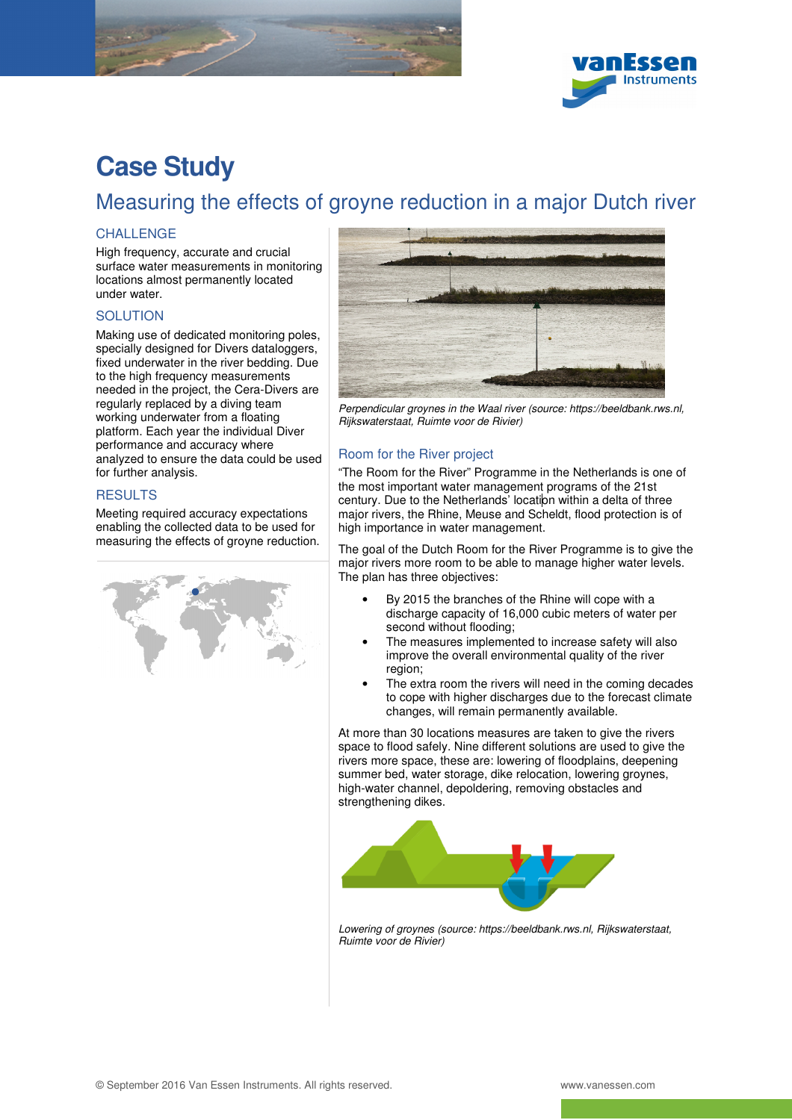



# **Case Study**

## Measuring the effects of groyne reduction in a major Dutch river

### **CHALLENGE**

High frequency, accurate and crucial surface water measurements in monitoring locations almost permanently located under water.

#### **SOLUTION**

Making use of dedicated monitoring poles, specially designed for Divers dataloggers, fixed underwater in the river bedding. Due to the high frequency measurements needed in the project, the Cera-Divers are regularly replaced by a diving team working underwater from a floating platform. Each year the individual Diver performance and accuracy where analyzed to ensure the data could be used for further analysis.

#### **RESULTS**

Meeting required accuracy expectations enabling the collected data to be used for measuring the effects of groyne reduction.





Perpendicular groynes in the Waal river (source: https://beeldbank.rws.nl, Rijkswaterstaat, Ruimte voor de Rivier)

#### Room for the River project

"The Room for the River" Programme in the Netherlands is one of the most important water management programs of the 21st century. Due to the Netherlands' location within a delta of three major rivers, the Rhine, Meuse and Scheldt, flood protection is of high importance in water management.

The goal of the Dutch Room for the River Programme is to give the major rivers more room to be able to manage higher water levels. The plan has three objectives:

- By 2015 the branches of the Rhine will cope with a discharge capacity of 16,000 cubic meters of water per second without flooding;
- The measures implemented to increase safety will also improve the overall environmental quality of the river region;
- The extra room the rivers will need in the coming decades to cope with higher discharges due to the forecast climate changes, will remain permanently available.

At more than 30 locations measures are taken to give the rivers space to flood safely. Nine different solutions are used to give the rivers more space, these are: lowering of floodplains, deepening summer bed, water storage, dike relocation, lowering groynes, high-water channel, depoldering, removing obstacles and strengthening dikes.



Lowering of groynes (source: https://beeldbank.rws.nl, Rijkswaterstaat, Ruimte voor de Rivier)